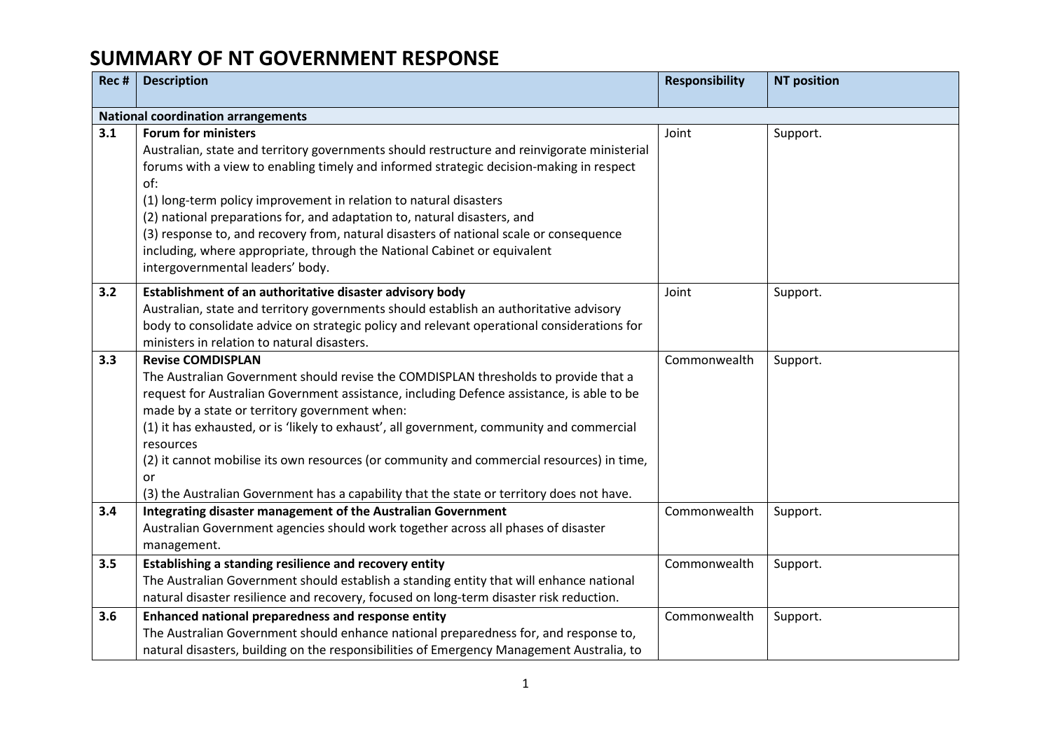| Rec # | <b>Description</b>                                                                                                                                                                                                                                                                                                                                                                                                                                                                                                                                                                     | <b>Responsibility</b> | <b>NT position</b> |
|-------|----------------------------------------------------------------------------------------------------------------------------------------------------------------------------------------------------------------------------------------------------------------------------------------------------------------------------------------------------------------------------------------------------------------------------------------------------------------------------------------------------------------------------------------------------------------------------------------|-----------------------|--------------------|
|       | <b>National coordination arrangements</b>                                                                                                                                                                                                                                                                                                                                                                                                                                                                                                                                              |                       |                    |
| 3.1   | <b>Forum for ministers</b><br>Australian, state and territory governments should restructure and reinvigorate ministerial<br>forums with a view to enabling timely and informed strategic decision-making in respect<br>of:<br>(1) long-term policy improvement in relation to natural disasters<br>(2) national preparations for, and adaptation to, natural disasters, and<br>(3) response to, and recovery from, natural disasters of national scale or consequence<br>including, where appropriate, through the National Cabinet or equivalent<br>intergovernmental leaders' body. | Joint                 | Support.           |
| 3.2   | Establishment of an authoritative disaster advisory body<br>Australian, state and territory governments should establish an authoritative advisory<br>body to consolidate advice on strategic policy and relevant operational considerations for<br>ministers in relation to natural disasters.                                                                                                                                                                                                                                                                                        | Joint                 | Support.           |
| 3.3   | <b>Revise COMDISPLAN</b><br>The Australian Government should revise the COMDISPLAN thresholds to provide that a<br>request for Australian Government assistance, including Defence assistance, is able to be<br>made by a state or territory government when:<br>(1) it has exhausted, or is 'likely to exhaust', all government, community and commercial<br>resources<br>(2) it cannot mobilise its own resources (or community and commercial resources) in time,<br>or<br>(3) the Australian Government has a capability that the state or territory does not have.                | Commonwealth          | Support.           |
| 3.4   | Integrating disaster management of the Australian Government<br>Australian Government agencies should work together across all phases of disaster<br>management.                                                                                                                                                                                                                                                                                                                                                                                                                       | Commonwealth          | Support.           |
| 3.5   | Establishing a standing resilience and recovery entity<br>The Australian Government should establish a standing entity that will enhance national<br>natural disaster resilience and recovery, focused on long-term disaster risk reduction.                                                                                                                                                                                                                                                                                                                                           | Commonwealth          | Support.           |
| 3.6   | Enhanced national preparedness and response entity<br>The Australian Government should enhance national preparedness for, and response to,<br>natural disasters, building on the responsibilities of Emergency Management Australia, to                                                                                                                                                                                                                                                                                                                                                | Commonwealth          | Support.           |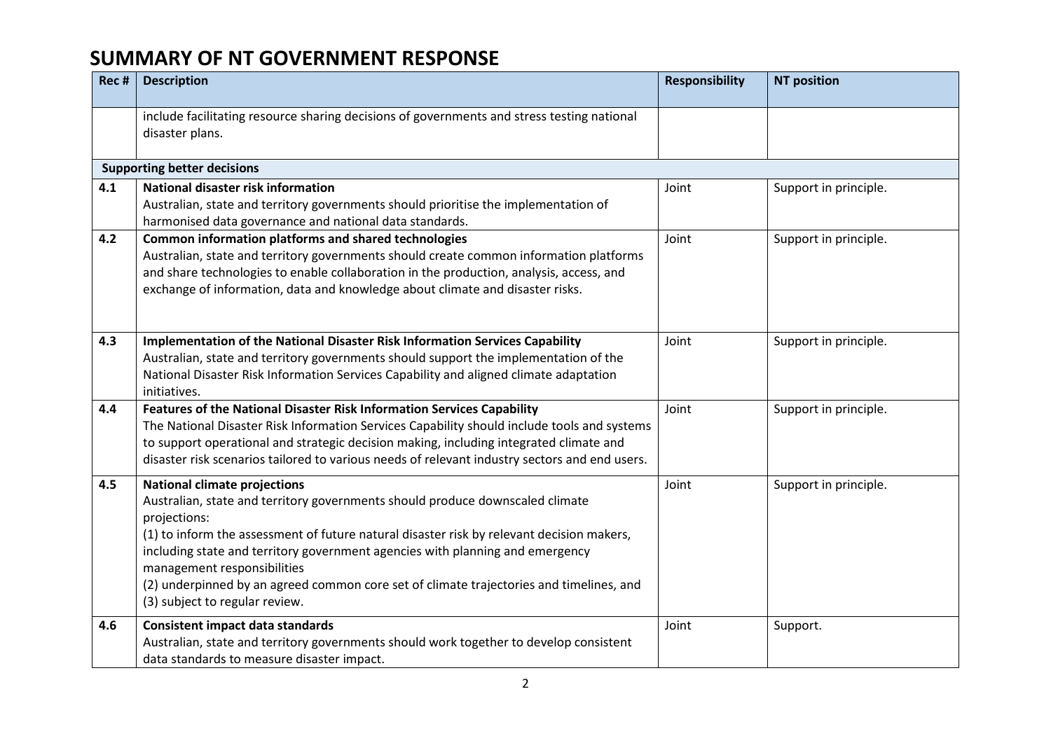| Rec # | <b>Description</b>                                                                                                                                                                                                                                                                                                                                                                                                                                                             | <b>Responsibility</b> | <b>NT position</b>    |
|-------|--------------------------------------------------------------------------------------------------------------------------------------------------------------------------------------------------------------------------------------------------------------------------------------------------------------------------------------------------------------------------------------------------------------------------------------------------------------------------------|-----------------------|-----------------------|
|       | include facilitating resource sharing decisions of governments and stress testing national<br>disaster plans.                                                                                                                                                                                                                                                                                                                                                                  |                       |                       |
|       | <b>Supporting better decisions</b>                                                                                                                                                                                                                                                                                                                                                                                                                                             |                       |                       |
| 4.1   | National disaster risk information<br>Australian, state and territory governments should prioritise the implementation of<br>harmonised data governance and national data standards.                                                                                                                                                                                                                                                                                           | Joint                 | Support in principle. |
| 4.2   | Common information platforms and shared technologies<br>Australian, state and territory governments should create common information platforms<br>and share technologies to enable collaboration in the production, analysis, access, and<br>exchange of information, data and knowledge about climate and disaster risks.                                                                                                                                                     | Joint                 | Support in principle. |
| 4.3   | Implementation of the National Disaster Risk Information Services Capability<br>Australian, state and territory governments should support the implementation of the<br>National Disaster Risk Information Services Capability and aligned climate adaptation<br>initiatives.                                                                                                                                                                                                  | Joint                 | Support in principle. |
| 4.4   | Features of the National Disaster Risk Information Services Capability<br>The National Disaster Risk Information Services Capability should include tools and systems<br>to support operational and strategic decision making, including integrated climate and<br>disaster risk scenarios tailored to various needs of relevant industry sectors and end users.                                                                                                               | Joint                 | Support in principle. |
| 4.5   | <b>National climate projections</b><br>Australian, state and territory governments should produce downscaled climate<br>projections:<br>(1) to inform the assessment of future natural disaster risk by relevant decision makers,<br>including state and territory government agencies with planning and emergency<br>management responsibilities<br>(2) underpinned by an agreed common core set of climate trajectories and timelines, and<br>(3) subject to regular review. | Joint                 | Support in principle. |
| 4.6   | <b>Consistent impact data standards</b><br>Australian, state and territory governments should work together to develop consistent<br>data standards to measure disaster impact.                                                                                                                                                                                                                                                                                                | Joint                 | Support.              |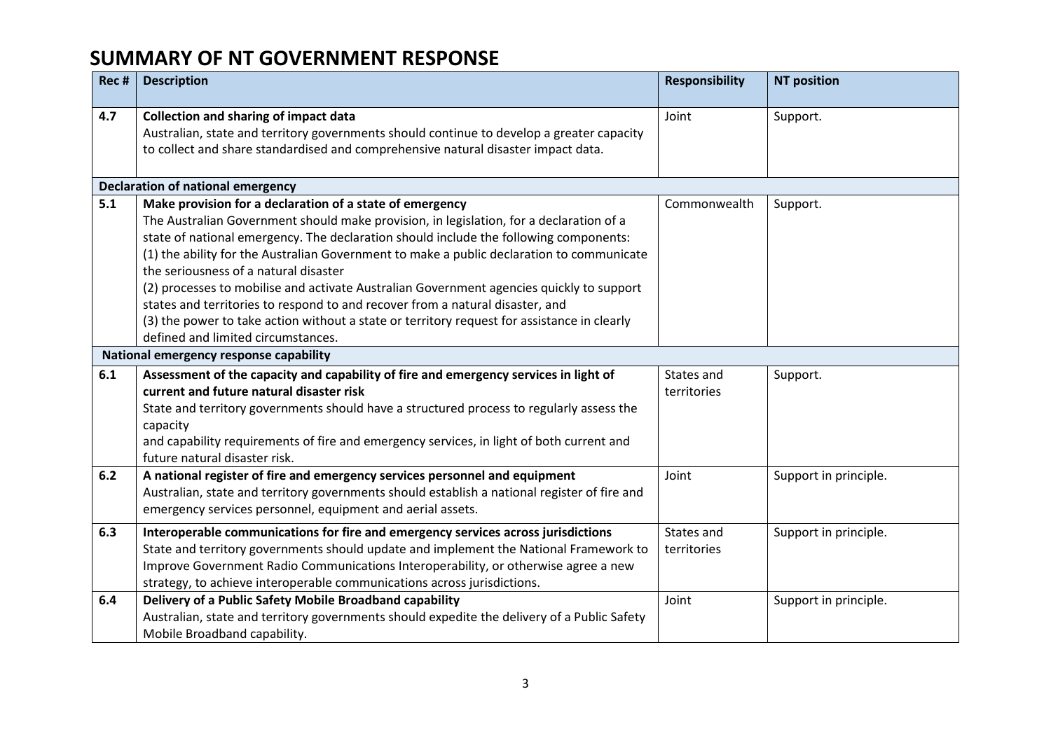| Rec # | <b>Description</b>                                                                                                                                                                                                                                                                                                                                                                                                                                                                                                                                                                                                                                                                                   | <b>Responsibility</b>     | <b>NT position</b>    |
|-------|------------------------------------------------------------------------------------------------------------------------------------------------------------------------------------------------------------------------------------------------------------------------------------------------------------------------------------------------------------------------------------------------------------------------------------------------------------------------------------------------------------------------------------------------------------------------------------------------------------------------------------------------------------------------------------------------------|---------------------------|-----------------------|
| 4.7   | <b>Collection and sharing of impact data</b><br>Australian, state and territory governments should continue to develop a greater capacity<br>to collect and share standardised and comprehensive natural disaster impact data.                                                                                                                                                                                                                                                                                                                                                                                                                                                                       | Joint                     | Support.              |
|       | <b>Declaration of national emergency</b>                                                                                                                                                                                                                                                                                                                                                                                                                                                                                                                                                                                                                                                             |                           |                       |
| 5.1   | Make provision for a declaration of a state of emergency<br>The Australian Government should make provision, in legislation, for a declaration of a<br>state of national emergency. The declaration should include the following components:<br>(1) the ability for the Australian Government to make a public declaration to communicate<br>the seriousness of a natural disaster<br>(2) processes to mobilise and activate Australian Government agencies quickly to support<br>states and territories to respond to and recover from a natural disaster, and<br>(3) the power to take action without a state or territory request for assistance in clearly<br>defined and limited circumstances. | Commonwealth              | Support.              |
|       | National emergency response capability                                                                                                                                                                                                                                                                                                                                                                                                                                                                                                                                                                                                                                                               |                           |                       |
| 6.1   | Assessment of the capacity and capability of fire and emergency services in light of<br>current and future natural disaster risk<br>State and territory governments should have a structured process to regularly assess the<br>capacity<br>and capability requirements of fire and emergency services, in light of both current and<br>future natural disaster risk.                                                                                                                                                                                                                                                                                                                                | States and<br>territories | Support.              |
| 6.2   | A national register of fire and emergency services personnel and equipment<br>Australian, state and territory governments should establish a national register of fire and<br>emergency services personnel, equipment and aerial assets.                                                                                                                                                                                                                                                                                                                                                                                                                                                             | Joint                     | Support in principle. |
| 6.3   | Interoperable communications for fire and emergency services across jurisdictions<br>State and territory governments should update and implement the National Framework to<br>Improve Government Radio Communications Interoperability, or otherwise agree a new<br>strategy, to achieve interoperable communications across jurisdictions.                                                                                                                                                                                                                                                                                                                                                          | States and<br>territories | Support in principle. |
| 6.4   | Delivery of a Public Safety Mobile Broadband capability<br>Australian, state and territory governments should expedite the delivery of a Public Safety<br>Mobile Broadband capability.                                                                                                                                                                                                                                                                                                                                                                                                                                                                                                               | Joint                     | Support in principle. |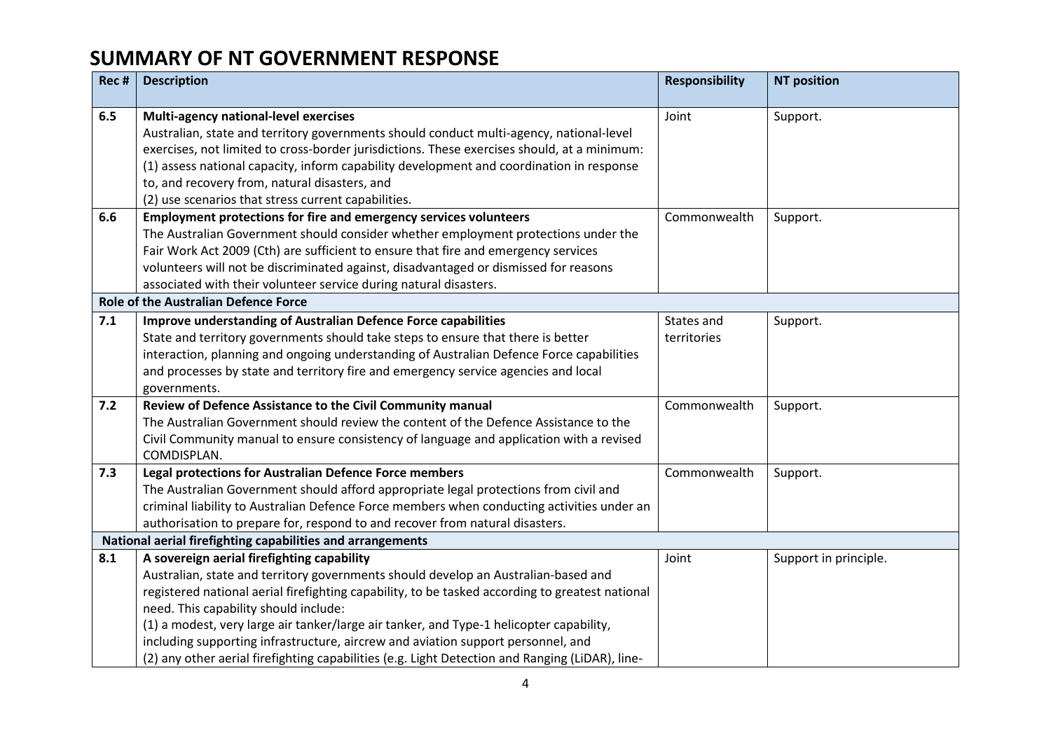| Rec # | <b>Description</b>                                                                                                                                                                                                                                                                                                                                                                                                                                                                                               | <b>Responsibility</b>     | <b>NT position</b>    |
|-------|------------------------------------------------------------------------------------------------------------------------------------------------------------------------------------------------------------------------------------------------------------------------------------------------------------------------------------------------------------------------------------------------------------------------------------------------------------------------------------------------------------------|---------------------------|-----------------------|
| 6.5   | Multi-agency national-level exercises<br>Australian, state and territory governments should conduct multi-agency, national-level<br>exercises, not limited to cross-border jurisdictions. These exercises should, at a minimum:<br>(1) assess national capacity, inform capability development and coordination in response<br>to, and recovery from, natural disasters, and<br>(2) use scenarios that stress current capabilities.                                                                              | Joint                     | Support.              |
| 6.6   | Employment protections for fire and emergency services volunteers<br>The Australian Government should consider whether employment protections under the<br>Fair Work Act 2009 (Cth) are sufficient to ensure that fire and emergency services<br>volunteers will not be discriminated against, disadvantaged or dismissed for reasons<br>associated with their volunteer service during natural disasters.                                                                                                       | Commonwealth              | Support.              |
|       | <b>Role of the Australian Defence Force</b>                                                                                                                                                                                                                                                                                                                                                                                                                                                                      |                           |                       |
| 7.1   | Improve understanding of Australian Defence Force capabilities<br>State and territory governments should take steps to ensure that there is better<br>interaction, planning and ongoing understanding of Australian Defence Force capabilities<br>and processes by state and territory fire and emergency service agencies and local<br>governments.                                                                                                                                                             | States and<br>territories | Support.              |
| 7.2   | Review of Defence Assistance to the Civil Community manual<br>The Australian Government should review the content of the Defence Assistance to the<br>Civil Community manual to ensure consistency of language and application with a revised<br>COMDISPLAN.                                                                                                                                                                                                                                                     | Commonwealth              | Support.              |
| 7.3   | Legal protections for Australian Defence Force members<br>The Australian Government should afford appropriate legal protections from civil and<br>criminal liability to Australian Defence Force members when conducting activities under an<br>authorisation to prepare for, respond to and recover from natural disasters.<br>National aerial firefighting capabilities and arrangements                                                                                                                       | Commonwealth              | Support.              |
| 8.1   | A sovereign aerial firefighting capability                                                                                                                                                                                                                                                                                                                                                                                                                                                                       | Joint                     | Support in principle. |
|       | Australian, state and territory governments should develop an Australian-based and<br>registered national aerial firefighting capability, to be tasked according to greatest national<br>need. This capability should include:<br>(1) a modest, very large air tanker/large air tanker, and Type-1 helicopter capability,<br>including supporting infrastructure, aircrew and aviation support personnel, and<br>(2) any other aerial firefighting capabilities (e.g. Light Detection and Ranging (LiDAR), line- |                           |                       |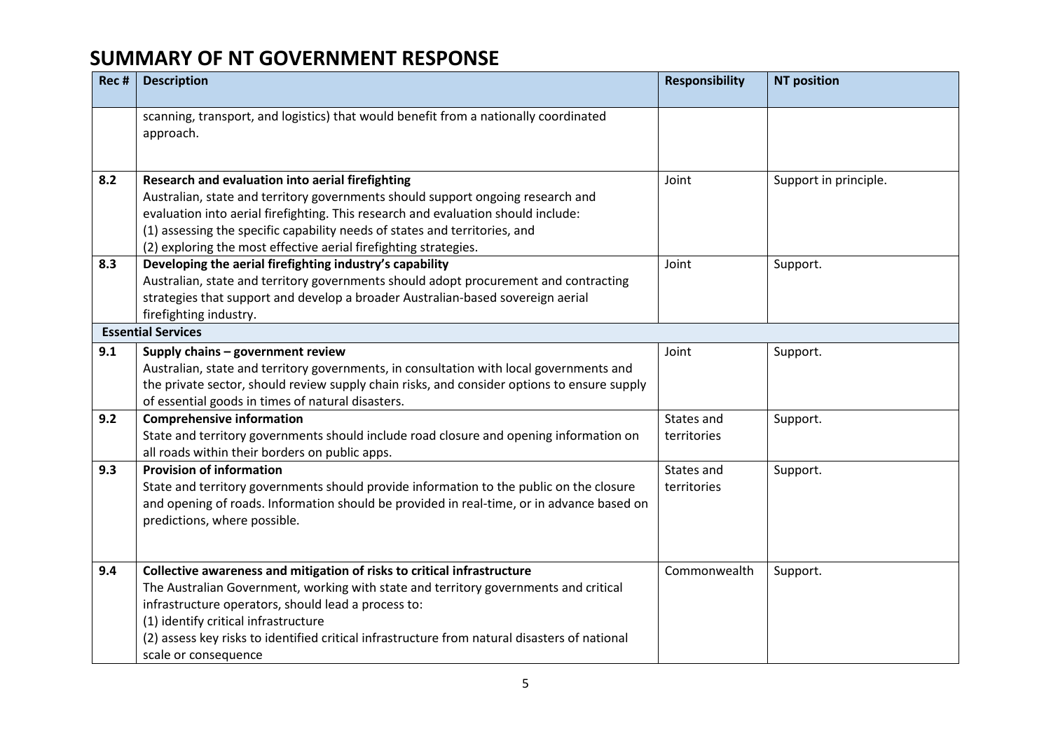| Rec # | <b>Description</b>                                                                                                                                                                                                                                                                                                                                                                      | <b>Responsibility</b>     | <b>NT position</b>    |
|-------|-----------------------------------------------------------------------------------------------------------------------------------------------------------------------------------------------------------------------------------------------------------------------------------------------------------------------------------------------------------------------------------------|---------------------------|-----------------------|
|       | scanning, transport, and logistics) that would benefit from a nationally coordinated<br>approach.                                                                                                                                                                                                                                                                                       |                           |                       |
| 8.2   | Research and evaluation into aerial firefighting<br>Australian, state and territory governments should support ongoing research and<br>evaluation into aerial firefighting. This research and evaluation should include:<br>(1) assessing the specific capability needs of states and territories, and<br>(2) exploring the most effective aerial firefighting strategies.              | Joint                     | Support in principle. |
| 8.3   | Developing the aerial firefighting industry's capability<br>Australian, state and territory governments should adopt procurement and contracting<br>strategies that support and develop a broader Australian-based sovereign aerial<br>firefighting industry.                                                                                                                           | Joint                     | Support.              |
|       | <b>Essential Services</b>                                                                                                                                                                                                                                                                                                                                                               |                           |                       |
| 9.1   | Supply chains - government review<br>Australian, state and territory governments, in consultation with local governments and<br>the private sector, should review supply chain risks, and consider options to ensure supply<br>of essential goods in times of natural disasters.                                                                                                        | Joint                     | Support.              |
| 9.2   | <b>Comprehensive information</b><br>State and territory governments should include road closure and opening information on<br>all roads within their borders on public apps.                                                                                                                                                                                                            | States and<br>territories | Support.              |
| 9.3   | <b>Provision of information</b><br>State and territory governments should provide information to the public on the closure<br>and opening of roads. Information should be provided in real-time, or in advance based on<br>predictions, where possible.                                                                                                                                 | States and<br>territories | Support.              |
| 9.4   | Collective awareness and mitigation of risks to critical infrastructure<br>The Australian Government, working with state and territory governments and critical<br>infrastructure operators, should lead a process to:<br>(1) identify critical infrastructure<br>(2) assess key risks to identified critical infrastructure from natural disasters of national<br>scale or consequence | Commonwealth              | Support.              |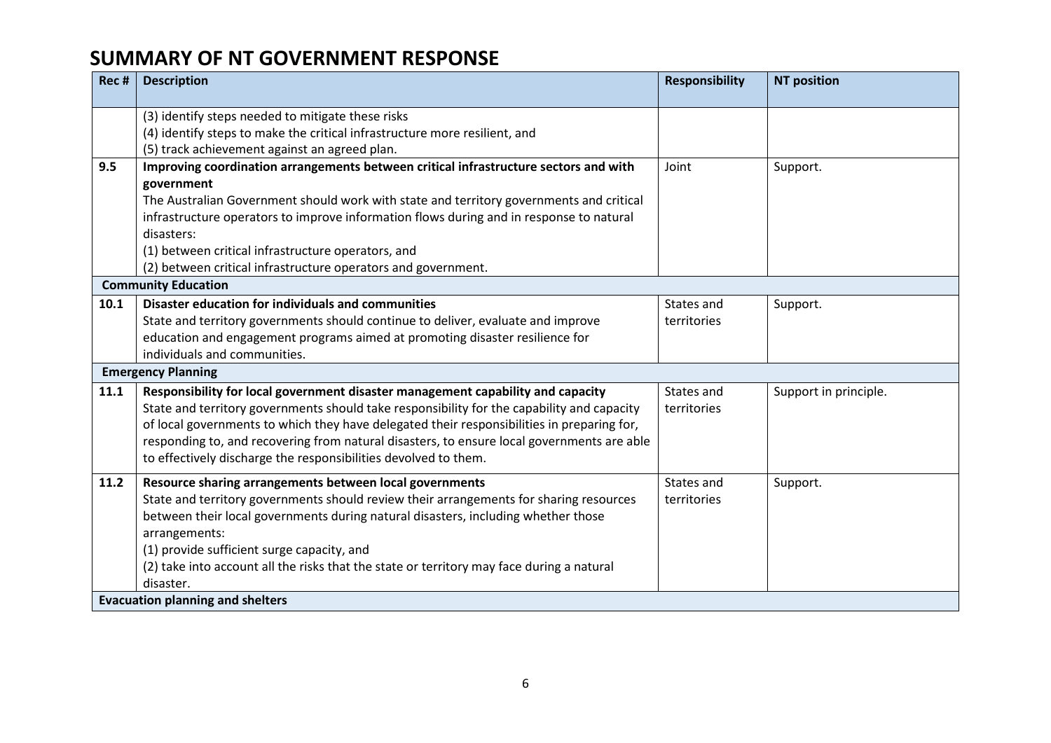| Rec # | <b>Description</b>                                                                         | <b>Responsibility</b> | <b>NT position</b>    |
|-------|--------------------------------------------------------------------------------------------|-----------------------|-----------------------|
|       | (3) identify steps needed to mitigate these risks                                          |                       |                       |
|       | (4) identify steps to make the critical infrastructure more resilient, and                 |                       |                       |
|       | (5) track achievement against an agreed plan.                                              |                       |                       |
| 9.5   | Improving coordination arrangements between critical infrastructure sectors and with       | Joint                 | Support.              |
|       | government                                                                                 |                       |                       |
|       | The Australian Government should work with state and territory governments and critical    |                       |                       |
|       | infrastructure operators to improve information flows during and in response to natural    |                       |                       |
|       | disasters:                                                                                 |                       |                       |
|       | (1) between critical infrastructure operators, and                                         |                       |                       |
|       | (2) between critical infrastructure operators and government.                              |                       |                       |
|       | <b>Community Education</b>                                                                 |                       |                       |
| 10.1  | Disaster education for individuals and communities                                         | States and            | Support.              |
|       | State and territory governments should continue to deliver, evaluate and improve           | territories           |                       |
|       | education and engagement programs aimed at promoting disaster resilience for               |                       |                       |
|       | individuals and communities.                                                               |                       |                       |
|       | <b>Emergency Planning</b>                                                                  |                       |                       |
| 11.1  | Responsibility for local government disaster management capability and capacity            | States and            | Support in principle. |
|       | State and territory governments should take responsibility for the capability and capacity | territories           |                       |
|       | of local governments to which they have delegated their responsibilities in preparing for, |                       |                       |
|       | responding to, and recovering from natural disasters, to ensure local governments are able |                       |                       |
|       | to effectively discharge the responsibilities devolved to them.                            |                       |                       |
| 11.2  | Resource sharing arrangements between local governments                                    | States and            | Support.              |
|       | State and territory governments should review their arrangements for sharing resources     | territories           |                       |
|       | between their local governments during natural disasters, including whether those          |                       |                       |
|       | arrangements:                                                                              |                       |                       |
|       | (1) provide sufficient surge capacity, and                                                 |                       |                       |
|       | (2) take into account all the risks that the state or territory may face during a natural  |                       |                       |
|       | disaster.                                                                                  |                       |                       |
|       | <b>Evacuation planning and shelters</b>                                                    |                       |                       |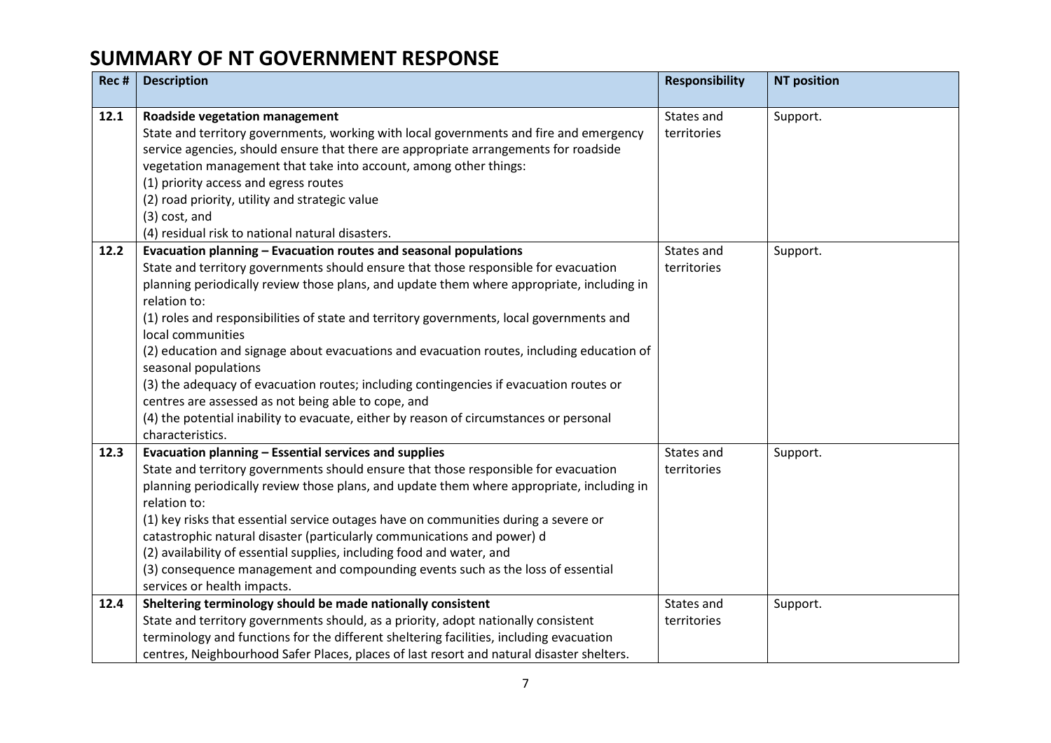| Rec # | <b>Description</b>                                                                                                                                                                                                                                                                                                                                                                                                                                                                                                                                                                                                                                                                                                                                                        | <b>Responsibility</b>     | <b>NT position</b> |
|-------|---------------------------------------------------------------------------------------------------------------------------------------------------------------------------------------------------------------------------------------------------------------------------------------------------------------------------------------------------------------------------------------------------------------------------------------------------------------------------------------------------------------------------------------------------------------------------------------------------------------------------------------------------------------------------------------------------------------------------------------------------------------------------|---------------------------|--------------------|
| 12.1  | Roadside vegetation management<br>State and territory governments, working with local governments and fire and emergency<br>service agencies, should ensure that there are appropriate arrangements for roadside<br>vegetation management that take into account, among other things:<br>(1) priority access and egress routes<br>(2) road priority, utility and strategic value<br>(3) cost, and<br>(4) residual risk to national natural disasters.                                                                                                                                                                                                                                                                                                                     | States and<br>territories | Support.           |
| 12.2  | Evacuation planning - Evacuation routes and seasonal populations<br>State and territory governments should ensure that those responsible for evacuation<br>planning periodically review those plans, and update them where appropriate, including in<br>relation to:<br>(1) roles and responsibilities of state and territory governments, local governments and<br>local communities<br>(2) education and signage about evacuations and evacuation routes, including education of<br>seasonal populations<br>(3) the adequacy of evacuation routes; including contingencies if evacuation routes or<br>centres are assessed as not being able to cope, and<br>(4) the potential inability to evacuate, either by reason of circumstances or personal<br>characteristics. | States and<br>territories | Support.           |
| 12.3  | Evacuation planning - Essential services and supplies<br>State and territory governments should ensure that those responsible for evacuation<br>planning periodically review those plans, and update them where appropriate, including in<br>relation to:<br>(1) key risks that essential service outages have on communities during a severe or<br>catastrophic natural disaster (particularly communications and power) d<br>(2) availability of essential supplies, including food and water, and<br>(3) consequence management and compounding events such as the loss of essential<br>services or health impacts.                                                                                                                                                    | States and<br>territories | Support.           |
| 12.4  | Sheltering terminology should be made nationally consistent<br>State and territory governments should, as a priority, adopt nationally consistent<br>terminology and functions for the different sheltering facilities, including evacuation<br>centres, Neighbourhood Safer Places, places of last resort and natural disaster shelters.                                                                                                                                                                                                                                                                                                                                                                                                                                 | States and<br>territories | Support.           |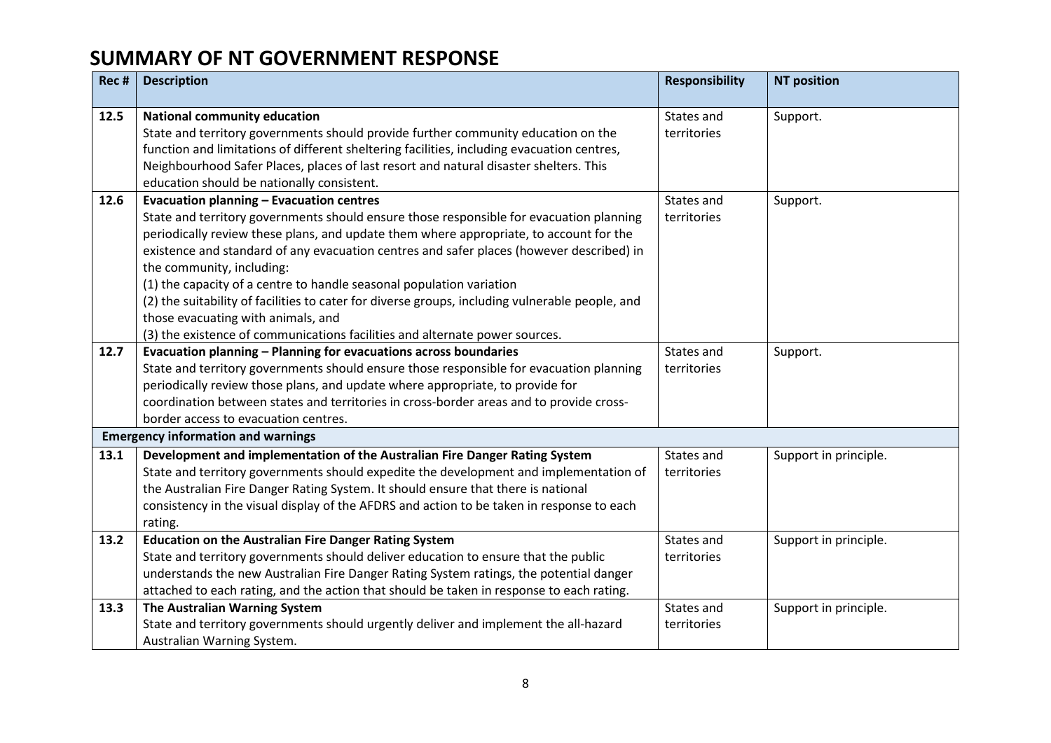| Rec # | <b>Description</b>                                                                                                                                                                                                                                                                                                                                                                                                                                                                                                                                                                                                                                            | <b>Responsibility</b>     | <b>NT position</b>    |
|-------|---------------------------------------------------------------------------------------------------------------------------------------------------------------------------------------------------------------------------------------------------------------------------------------------------------------------------------------------------------------------------------------------------------------------------------------------------------------------------------------------------------------------------------------------------------------------------------------------------------------------------------------------------------------|---------------------------|-----------------------|
| 12.5  | <b>National community education</b><br>State and territory governments should provide further community education on the<br>function and limitations of different sheltering facilities, including evacuation centres,<br>Neighbourhood Safer Places, places of last resort and natural disaster shelters. This<br>education should be nationally consistent.                                                                                                                                                                                                                                                                                                 | States and<br>territories | Support.              |
| 12.6  | <b>Evacuation planning - Evacuation centres</b><br>State and territory governments should ensure those responsible for evacuation planning<br>periodically review these plans, and update them where appropriate, to account for the<br>existence and standard of any evacuation centres and safer places (however described) in<br>the community, including:<br>(1) the capacity of a centre to handle seasonal population variation<br>(2) the suitability of facilities to cater for diverse groups, including vulnerable people, and<br>those evacuating with animals, and<br>(3) the existence of communications facilities and alternate power sources. | States and<br>territories | Support.              |
| 12.7  | Evacuation planning - Planning for evacuations across boundaries<br>State and territory governments should ensure those responsible for evacuation planning<br>periodically review those plans, and update where appropriate, to provide for<br>coordination between states and territories in cross-border areas and to provide cross-<br>border access to evacuation centres.                                                                                                                                                                                                                                                                               | States and<br>territories | Support.              |
|       | <b>Emergency information and warnings</b>                                                                                                                                                                                                                                                                                                                                                                                                                                                                                                                                                                                                                     |                           |                       |
| 13.1  | Development and implementation of the Australian Fire Danger Rating System<br>State and territory governments should expedite the development and implementation of<br>the Australian Fire Danger Rating System. It should ensure that there is national<br>consistency in the visual display of the AFDRS and action to be taken in response to each<br>rating.                                                                                                                                                                                                                                                                                              | States and<br>territories | Support in principle. |
| 13.2  | <b>Education on the Australian Fire Danger Rating System</b><br>State and territory governments should deliver education to ensure that the public<br>understands the new Australian Fire Danger Rating System ratings, the potential danger<br>attached to each rating, and the action that should be taken in response to each rating.                                                                                                                                                                                                                                                                                                                      | States and<br>territories | Support in principle. |
| 13.3  | The Australian Warning System<br>State and territory governments should urgently deliver and implement the all-hazard<br>Australian Warning System.                                                                                                                                                                                                                                                                                                                                                                                                                                                                                                           | States and<br>territories | Support in principle. |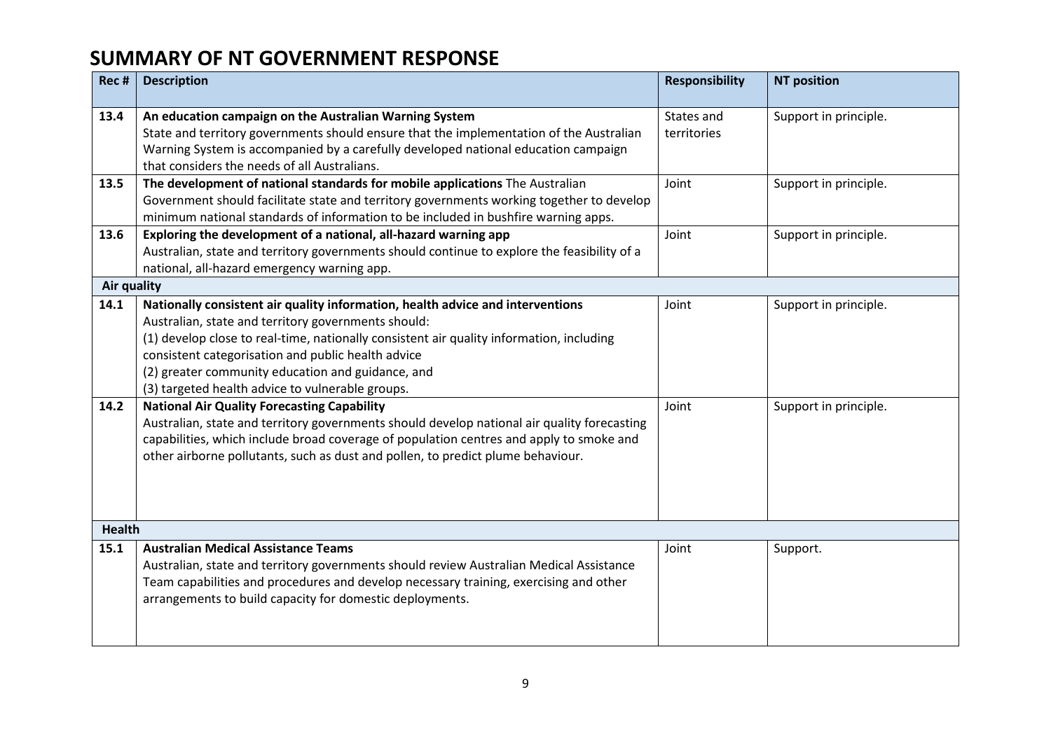| Rec #              | <b>Description</b>                                                                                                                                                                                                                                                                                                                                                                                                                                                                                                                                                                                                                                                                                                                  | <b>Responsibility</b>     | <b>NT position</b>                             |
|--------------------|-------------------------------------------------------------------------------------------------------------------------------------------------------------------------------------------------------------------------------------------------------------------------------------------------------------------------------------------------------------------------------------------------------------------------------------------------------------------------------------------------------------------------------------------------------------------------------------------------------------------------------------------------------------------------------------------------------------------------------------|---------------------------|------------------------------------------------|
| 13.4               | An education campaign on the Australian Warning System<br>State and territory governments should ensure that the implementation of the Australian<br>Warning System is accompanied by a carefully developed national education campaign<br>that considers the needs of all Australians.                                                                                                                                                                                                                                                                                                                                                                                                                                             | States and<br>territories | Support in principle.                          |
| 13.5               | The development of national standards for mobile applications The Australian<br>Government should facilitate state and territory governments working together to develop<br>minimum national standards of information to be included in bushfire warning apps.                                                                                                                                                                                                                                                                                                                                                                                                                                                                      | Joint                     | Support in principle.                          |
| 13.6               | Exploring the development of a national, all-hazard warning app<br>Australian, state and territory governments should continue to explore the feasibility of a<br>national, all-hazard emergency warning app.                                                                                                                                                                                                                                                                                                                                                                                                                                                                                                                       | Joint                     | Support in principle.                          |
| <b>Air quality</b> |                                                                                                                                                                                                                                                                                                                                                                                                                                                                                                                                                                                                                                                                                                                                     |                           |                                                |
| 14.1<br>14.2       | Nationally consistent air quality information, health advice and interventions<br>Australian, state and territory governments should:<br>(1) develop close to real-time, nationally consistent air quality information, including<br>consistent categorisation and public health advice<br>(2) greater community education and guidance, and<br>(3) targeted health advice to vulnerable groups.<br><b>National Air Quality Forecasting Capability</b><br>Australian, state and territory governments should develop national air quality forecasting<br>capabilities, which include broad coverage of population centres and apply to smoke and<br>other airborne pollutants, such as dust and pollen, to predict plume behaviour. | Joint<br>Joint            | Support in principle.<br>Support in principle. |
|                    |                                                                                                                                                                                                                                                                                                                                                                                                                                                                                                                                                                                                                                                                                                                                     |                           |                                                |
| <b>Health</b>      |                                                                                                                                                                                                                                                                                                                                                                                                                                                                                                                                                                                                                                                                                                                                     |                           |                                                |
| 15.1               | <b>Australian Medical Assistance Teams</b><br>Australian, state and territory governments should review Australian Medical Assistance<br>Team capabilities and procedures and develop necessary training, exercising and other<br>arrangements to build capacity for domestic deployments.                                                                                                                                                                                                                                                                                                                                                                                                                                          | Joint                     | Support.                                       |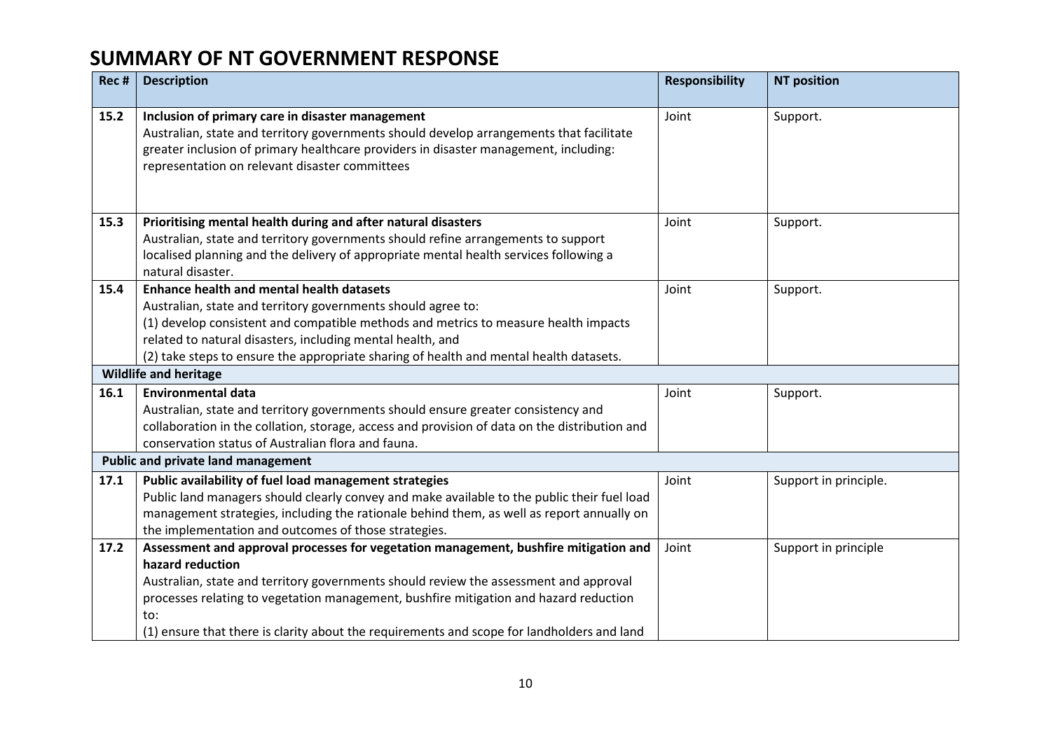| Rec # | <b>Description</b>                                                                                                                                                                                                                                                                                                                                                                              | <b>Responsibility</b> | <b>NT position</b>    |
|-------|-------------------------------------------------------------------------------------------------------------------------------------------------------------------------------------------------------------------------------------------------------------------------------------------------------------------------------------------------------------------------------------------------|-----------------------|-----------------------|
| 15.2  | Inclusion of primary care in disaster management<br>Australian, state and territory governments should develop arrangements that facilitate<br>greater inclusion of primary healthcare providers in disaster management, including:<br>representation on relevant disaster committees                                                                                                           | Joint                 | Support.              |
| 15.3  | Prioritising mental health during and after natural disasters<br>Australian, state and territory governments should refine arrangements to support<br>localised planning and the delivery of appropriate mental health services following a<br>natural disaster.                                                                                                                                | Joint                 | Support.              |
| 15.4  | <b>Enhance health and mental health datasets</b><br>Australian, state and territory governments should agree to:<br>(1) develop consistent and compatible methods and metrics to measure health impacts<br>related to natural disasters, including mental health, and<br>(2) take steps to ensure the appropriate sharing of health and mental health datasets.                                 | Joint                 | Support.              |
|       | <b>Wildlife and heritage</b>                                                                                                                                                                                                                                                                                                                                                                    |                       |                       |
| 16.1  | <b>Environmental data</b><br>Australian, state and territory governments should ensure greater consistency and<br>collaboration in the collation, storage, access and provision of data on the distribution and<br>conservation status of Australian flora and fauna.                                                                                                                           | Joint                 | Support.              |
|       | <b>Public and private land management</b>                                                                                                                                                                                                                                                                                                                                                       |                       |                       |
| 17.1  | Public availability of fuel load management strategies<br>Public land managers should clearly convey and make available to the public their fuel load<br>management strategies, including the rationale behind them, as well as report annually on<br>the implementation and outcomes of those strategies.                                                                                      | Joint                 | Support in principle. |
| 17.2  | Assessment and approval processes for vegetation management, bushfire mitigation and<br>hazard reduction<br>Australian, state and territory governments should review the assessment and approval<br>processes relating to vegetation management, bushfire mitigation and hazard reduction<br>to:<br>(1) ensure that there is clarity about the requirements and scope for landholders and land | Joint                 | Support in principle  |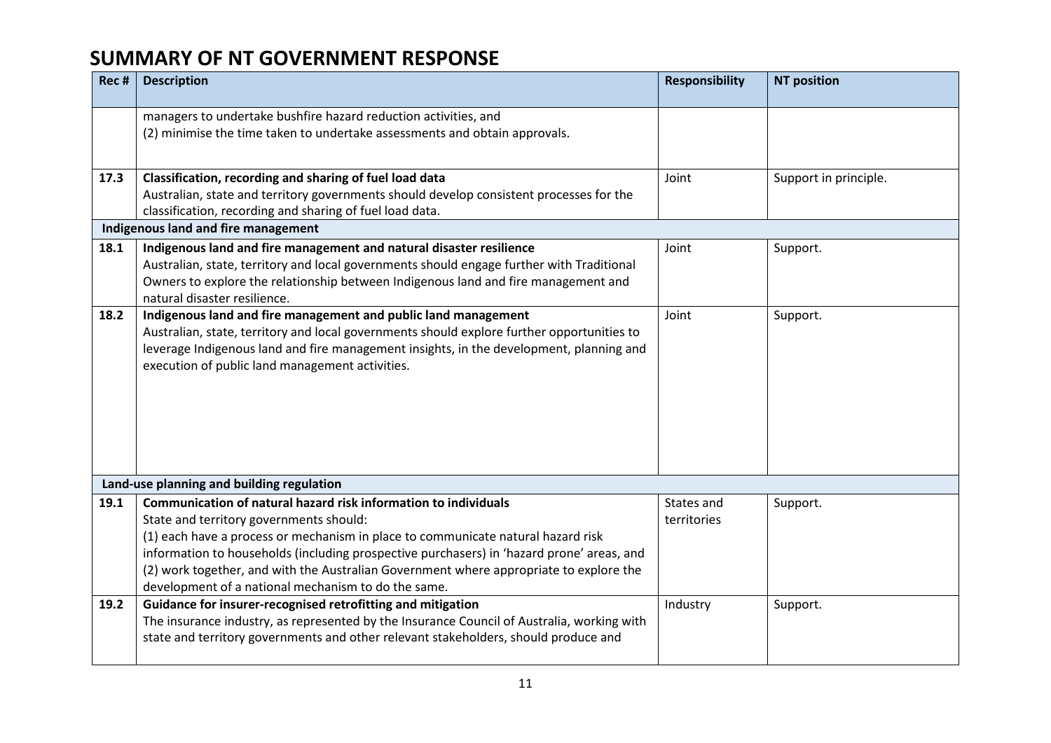| Rec # | <b>Description</b>                                                                                                                                                                                                                                                                                                                                                                                                                           | <b>Responsibility</b>     | <b>NT position</b>    |
|-------|----------------------------------------------------------------------------------------------------------------------------------------------------------------------------------------------------------------------------------------------------------------------------------------------------------------------------------------------------------------------------------------------------------------------------------------------|---------------------------|-----------------------|
|       | managers to undertake bushfire hazard reduction activities, and<br>(2) minimise the time taken to undertake assessments and obtain approvals.                                                                                                                                                                                                                                                                                                |                           |                       |
| 17.3  | Classification, recording and sharing of fuel load data<br>Australian, state and territory governments should develop consistent processes for the<br>classification, recording and sharing of fuel load data.                                                                                                                                                                                                                               | Joint                     | Support in principle. |
|       | Indigenous land and fire management                                                                                                                                                                                                                                                                                                                                                                                                          |                           |                       |
| 18.1  | Indigenous land and fire management and natural disaster resilience<br>Australian, state, territory and local governments should engage further with Traditional<br>Owners to explore the relationship between Indigenous land and fire management and<br>natural disaster resilience.                                                                                                                                                       | Joint                     | Support.              |
| 18.2  | Indigenous land and fire management and public land management<br>Australian, state, territory and local governments should explore further opportunities to<br>leverage Indigenous land and fire management insights, in the development, planning and<br>execution of public land management activities.                                                                                                                                   | Joint                     | Support.              |
|       | Land-use planning and building regulation                                                                                                                                                                                                                                                                                                                                                                                                    |                           |                       |
| 19.1  | Communication of natural hazard risk information to individuals<br>State and territory governments should:<br>(1) each have a process or mechanism in place to communicate natural hazard risk<br>information to households (including prospective purchasers) in 'hazard prone' areas, and<br>(2) work together, and with the Australian Government where appropriate to explore the<br>development of a national mechanism to do the same. | States and<br>territories | Support.              |
| 19.2  | Guidance for insurer-recognised retrofitting and mitigation<br>The insurance industry, as represented by the Insurance Council of Australia, working with<br>state and territory governments and other relevant stakeholders, should produce and                                                                                                                                                                                             | Industry                  | Support.              |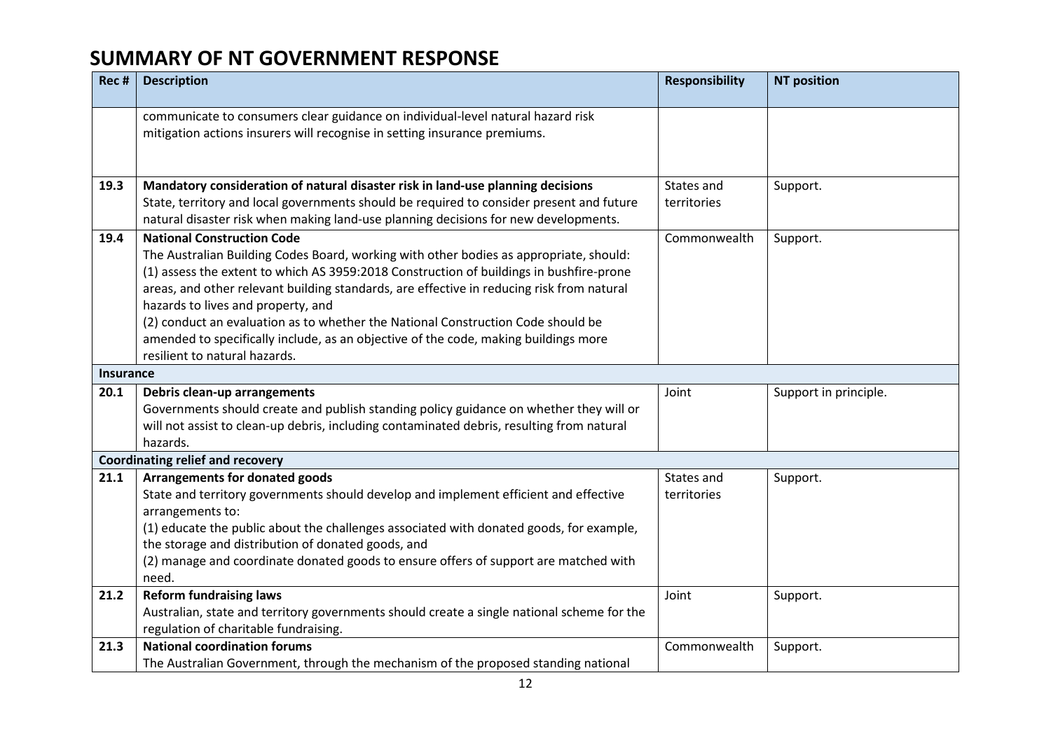| Rec #            | <b>Description</b>                                                                                                                                                                                                                                                                                                                                                                                                                                                                                                                                                    | <b>Responsibility</b>     | <b>NT position</b>    |
|------------------|-----------------------------------------------------------------------------------------------------------------------------------------------------------------------------------------------------------------------------------------------------------------------------------------------------------------------------------------------------------------------------------------------------------------------------------------------------------------------------------------------------------------------------------------------------------------------|---------------------------|-----------------------|
|                  | communicate to consumers clear guidance on individual-level natural hazard risk<br>mitigation actions insurers will recognise in setting insurance premiums.                                                                                                                                                                                                                                                                                                                                                                                                          |                           |                       |
| 19.3             | Mandatory consideration of natural disaster risk in land-use planning decisions<br>State, territory and local governments should be required to consider present and future<br>natural disaster risk when making land-use planning decisions for new developments.                                                                                                                                                                                                                                                                                                    | States and<br>territories | Support.              |
| 19.4             | <b>National Construction Code</b><br>The Australian Building Codes Board, working with other bodies as appropriate, should:<br>(1) assess the extent to which AS 3959:2018 Construction of buildings in bushfire-prone<br>areas, and other relevant building standards, are effective in reducing risk from natural<br>hazards to lives and property, and<br>(2) conduct an evaluation as to whether the National Construction Code should be<br>amended to specifically include, as an objective of the code, making buildings more<br>resilient to natural hazards. | Commonwealth              | Support.              |
| <b>Insurance</b> |                                                                                                                                                                                                                                                                                                                                                                                                                                                                                                                                                                       |                           |                       |
| 20.1             | Debris clean-up arrangements<br>Governments should create and publish standing policy guidance on whether they will or<br>will not assist to clean-up debris, including contaminated debris, resulting from natural<br>hazards.                                                                                                                                                                                                                                                                                                                                       | Joint                     | Support in principle. |
|                  | <b>Coordinating relief and recovery</b>                                                                                                                                                                                                                                                                                                                                                                                                                                                                                                                               |                           |                       |
| 21.1             | Arrangements for donated goods<br>State and territory governments should develop and implement efficient and effective<br>arrangements to:<br>(1) educate the public about the challenges associated with donated goods, for example,<br>the storage and distribution of donated goods, and<br>(2) manage and coordinate donated goods to ensure offers of support are matched with<br>need.                                                                                                                                                                          | States and<br>territories | Support.              |
| 21.2             | <b>Reform fundraising laws</b><br>Australian, state and territory governments should create a single national scheme for the<br>regulation of charitable fundraising.                                                                                                                                                                                                                                                                                                                                                                                                 | Joint                     | Support.              |
| 21.3             | <b>National coordination forums</b><br>The Australian Government, through the mechanism of the proposed standing national                                                                                                                                                                                                                                                                                                                                                                                                                                             | Commonwealth              | Support.              |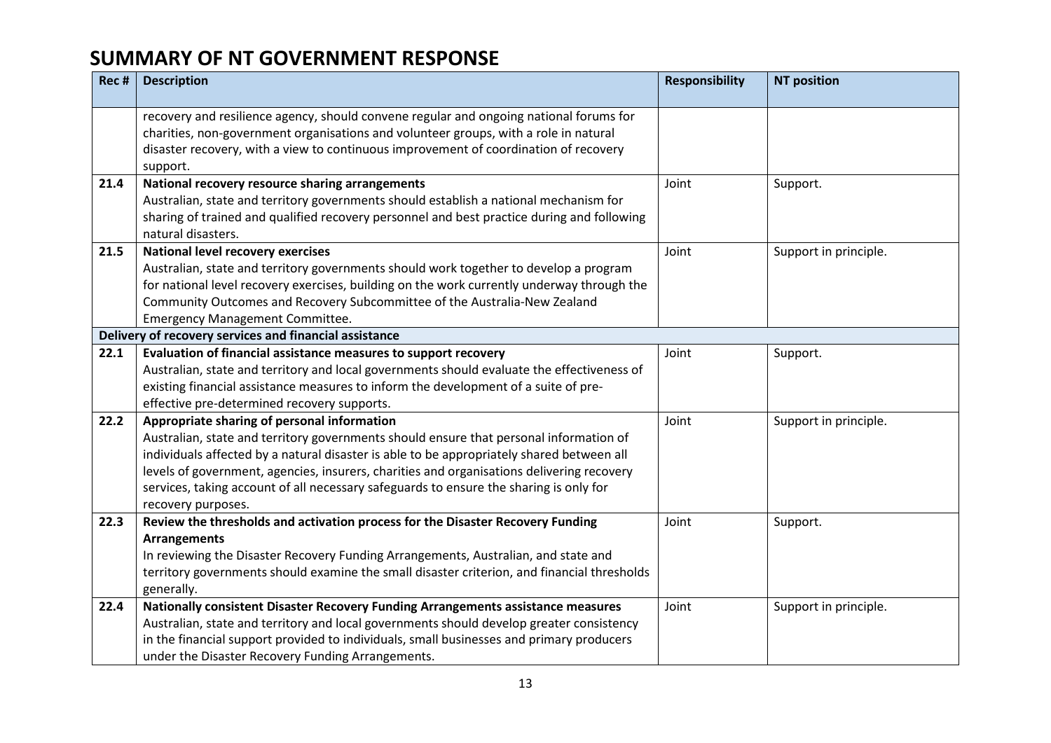| Rec # | <b>Description</b>                                                                                                                                                                                                                                                                                                                                                                                                                              | <b>Responsibility</b> | <b>NT position</b>    |
|-------|-------------------------------------------------------------------------------------------------------------------------------------------------------------------------------------------------------------------------------------------------------------------------------------------------------------------------------------------------------------------------------------------------------------------------------------------------|-----------------------|-----------------------|
|       | recovery and resilience agency, should convene regular and ongoing national forums for<br>charities, non-government organisations and volunteer groups, with a role in natural<br>disaster recovery, with a view to continuous improvement of coordination of recovery<br>support.                                                                                                                                                              |                       |                       |
| 21.4  | National recovery resource sharing arrangements<br>Australian, state and territory governments should establish a national mechanism for<br>sharing of trained and qualified recovery personnel and best practice during and following<br>natural disasters.                                                                                                                                                                                    | Joint                 | Support.              |
| 21.5  | <b>National level recovery exercises</b><br>Australian, state and territory governments should work together to develop a program<br>for national level recovery exercises, building on the work currently underway through the<br>Community Outcomes and Recovery Subcommittee of the Australia-New Zealand<br><b>Emergency Management Committee.</b>                                                                                          | Joint                 | Support in principle. |
| 22.1  | Delivery of recovery services and financial assistance<br>Evaluation of financial assistance measures to support recovery<br>Australian, state and territory and local governments should evaluate the effectiveness of<br>existing financial assistance measures to inform the development of a suite of pre-<br>effective pre-determined recovery supports.                                                                                   | Joint                 | Support.              |
| 22.2  | Appropriate sharing of personal information<br>Australian, state and territory governments should ensure that personal information of<br>individuals affected by a natural disaster is able to be appropriately shared between all<br>levels of government, agencies, insurers, charities and organisations delivering recovery<br>services, taking account of all necessary safeguards to ensure the sharing is only for<br>recovery purposes. | Joint                 | Support in principle. |
| 22.3  | Review the thresholds and activation process for the Disaster Recovery Funding<br><b>Arrangements</b><br>In reviewing the Disaster Recovery Funding Arrangements, Australian, and state and<br>territory governments should examine the small disaster criterion, and financial thresholds<br>generally.                                                                                                                                        | Joint                 | Support.              |
| 22.4  | Nationally consistent Disaster Recovery Funding Arrangements assistance measures<br>Australian, state and territory and local governments should develop greater consistency<br>in the financial support provided to individuals, small businesses and primary producers<br>under the Disaster Recovery Funding Arrangements.                                                                                                                   | Joint                 | Support in principle. |